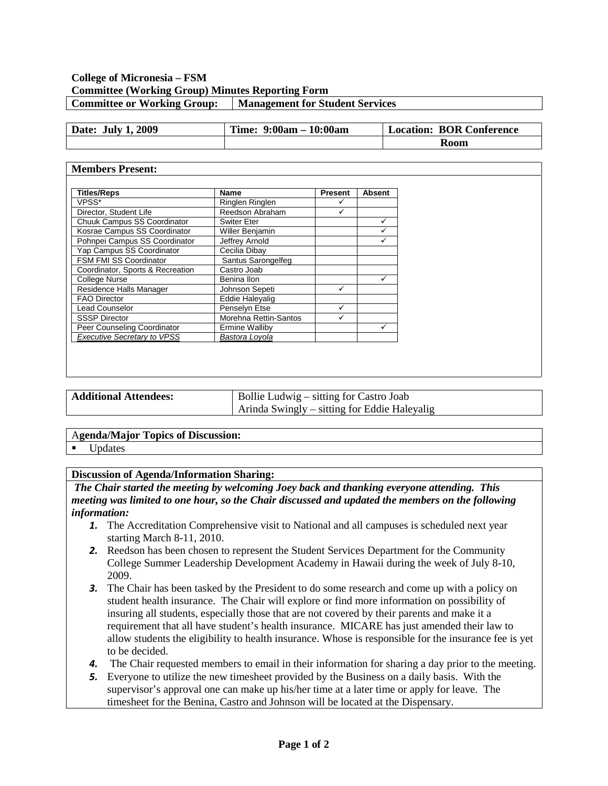### **College of Micronesia – FSM Committee (Working Group) Minutes Reporting Form Committee or Working Group: Management for Student Services**

| <b>July 1, 2009</b><br>Date: | Time: $9:00am - 10:00am$ | <b>Location: BOR Conference</b> |
|------------------------------|--------------------------|---------------------------------|
|                              |                          | Room                            |

#### **Members Present:**

| <b>Titles/Reps</b>                 | Name                   | <b>Present</b> | <b>Absent</b> |
|------------------------------------|------------------------|----------------|---------------|
| VPSS*                              | Ringlen Ringlen        |                |               |
| Director, Student Life             | Reedson Abraham        | ✓              |               |
| Chuuk Campus SS Coordinator        | <b>Switer Eter</b>     |                | ✓             |
| Kosrae Campus SS Coordinator       | Willer Benjamin        |                |               |
| Pohnpei Campus SS Coordinator      | Jeffrey Arnold         |                | ✓             |
| Yap Campus SS Coordinator          | Cecilia Dibay          |                |               |
| <b>FSM FMI SS Coordinator</b>      | Santus Sarongelfeg     |                |               |
| Coordinator, Sports & Recreation   | Castro Joab            |                |               |
| <b>College Nurse</b>               | Benina Ilon            |                | ✓             |
| Residence Halls Manager            | Johnson Sepeti         |                |               |
| <b>FAO Director</b>                | <b>Eddie Halevalig</b> |                |               |
| <b>Lead Counselor</b>              | Penselyn Etse          |                |               |
| <b>SSSP Director</b>               | Morehna Rettin-Santos  |                |               |
| Peer Counseling Coordinator        | <b>Ermine Walliby</b>  |                | ✓             |
| <b>Executive Secretary to VPSS</b> | Bastora Lovola         |                |               |

| <b>Additional Attendees:</b> | Bollie Ludwig – sitting for Castro Joab      |  |
|------------------------------|----------------------------------------------|--|
|                              | Arinda Swingly – sitting for Eddie Haleyalig |  |

#### A**genda/Major Topics of Discussion:**

**Updates** 

#### **Discussion of Agenda/Information Sharing:**

*The Chair started the meeting by welcoming Joey back and thanking everyone attending. This meeting was limited to one hour, so the Chair discussed and updated the members on the following information:*

- **1.** The Accreditation Comprehensive visit to National and all campuses is scheduled next year starting March 8-11, 2010.
- *2.* Reedson has been chosen to represent the Student Services Department for the Community College Summer Leadership Development Academy in Hawaii during the week of July 8-10, 2009.
- **3.** The Chair has been tasked by the President to do some research and come up with a policy on student health insurance. The Chair will explore or find more information on possibility of insuring all students, especially those that are not covered by their parents and make it a requirement that all have student's health insurance. MICARE has just amended their law to allow students the eligibility to health insurance. Whose is responsible for the insurance fee is yet to be decided.
- *4.* The Chair requested members to email in their information for sharing a day prior to the meeting.
- *5.* Everyone to utilize the new timesheet provided by the Business on a daily basis. With the supervisor's approval one can make up his/her time at a later time or apply for leave. The timesheet for the Benina, Castro and Johnson will be located at the Dispensary.